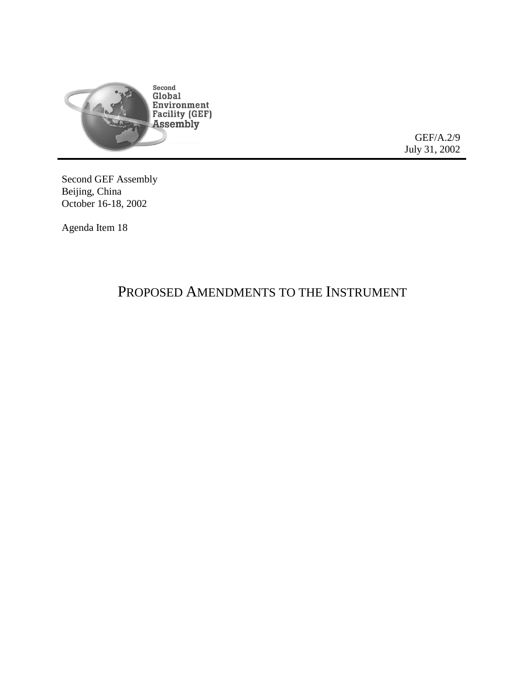

GEF/A.2/9 July 31, 2002

Second GEF Assembly Beijing, China October 16-18, 2002

Agenda Item 18

## PROPOSED AMENDMENTS TO THE INSTRUMENT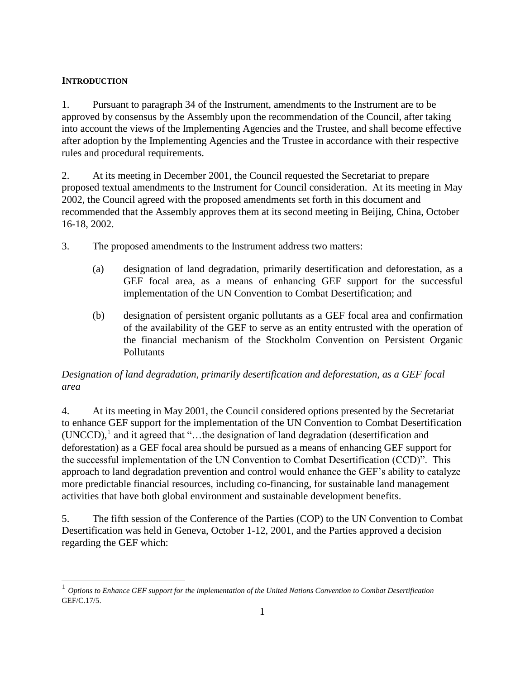## **INTRODUCTION**

 $\overline{a}$ 

1. Pursuant to paragraph 34 of the Instrument, amendments to the Instrument are to be approved by consensus by the Assembly upon the recommendation of the Council, after taking into account the views of the Implementing Agencies and the Trustee, and shall become effective after adoption by the Implementing Agencies and the Trustee in accordance with their respective rules and procedural requirements.

2. At its meeting in December 2001, the Council requested the Secretariat to prepare proposed textual amendments to the Instrument for Council consideration. At its meeting in May 2002, the Council agreed with the proposed amendments set forth in this document and recommended that the Assembly approves them at its second meeting in Beijing, China, October 16-18, 2002.

- 3. The proposed amendments to the Instrument address two matters:
	- (a) designation of land degradation, primarily desertification and deforestation, as a GEF focal area, as a means of enhancing GEF support for the successful implementation of the UN Convention to Combat Desertification; and
	- (b) designation of persistent organic pollutants as a GEF focal area and confirmation of the availability of the GEF to serve as an entity entrusted with the operation of the financial mechanism of the Stockholm Convention on Persistent Organic Pollutants

## *Designation of land degradation, primarily desertification and deforestation, as a GEF focal area*

4. At its meeting in May 2001, the Council considered options presented by the Secretariat to enhance GEF support for the implementation of the UN Convention to Combat Desertification  $(UNCCD)$ ,<sup>1</sup> and it agreed that "...the designation of land degradation (desertification and deforestation) as a GEF focal area should be pursued as a means of enhancing GEF support for the successful implementation of the UN Convention to Combat Desertification (CCD)". This approach to land degradation prevention and control would enhance the GEF's ability to catalyze more predictable financial resources, including co-financing, for sustainable land management activities that have both global environment and sustainable development benefits.

5. The fifth session of the Conference of the Parties (COP) to the UN Convention to Combat Desertification was held in Geneva, October 1-12, 2001, and the Parties approved a decision regarding the GEF which:

<sup>1</sup> *Options to Enhance GEF support for the implementation of the United Nations Convention to Combat Desertification* GEF/C.17/5.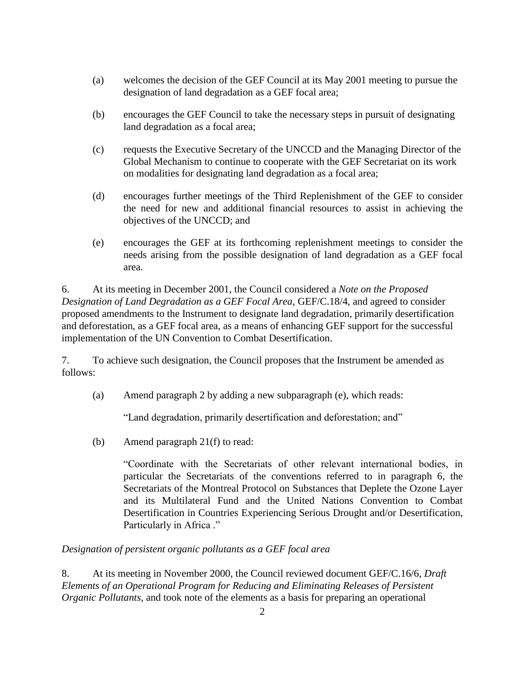- (a) welcomes the decision of the GEF Council at its May 2001 meeting to pursue the designation of land degradation as a GEF focal area;
- (b) encourages the GEF Council to take the necessary steps in pursuit of designating land degradation as a focal area;
- (c) requests the Executive Secretary of the UNCCD and the Managing Director of the Global Mechanism to continue to cooperate with the GEF Secretariat on its work on modalities for designating land degradation as a focal area;
- (d) encourages further meetings of the Third Replenishment of the GEF to consider the need for new and additional financial resources to assist in achieving the objectives of the UNCCD; and
- (e) encourages the GEF at its forthcoming replenishment meetings to consider the needs arising from the possible designation of land degradation as a GEF focal area.

6. At its meeting in December 2001, the Council considered a *Note on the Proposed Designation of Land Degradation as a GEF Focal Area*, GEF/C.18/4, and agreed to consider proposed amendments to the Instrument to designate land degradation, primarily desertification and deforestation, as a GEF focal area, as a means of enhancing GEF support for the successful implementation of the UN Convention to Combat Desertification.

7. To achieve such designation, the Council proposes that the Instrument be amended as follows:

(a) Amend paragraph 2 by adding a new subparagraph (e), which reads:

"Land degradation, primarily desertification and deforestation; and"

(b) Amend paragraph 21(f) to read:

"Coordinate with the Secretariats of other relevant international bodies, in particular the Secretariats of the conventions referred to in paragraph 6, the Secretariats of the Montreal Protocol on Substances that Deplete the Ozone Layer and its Multilateral Fund and the United Nations Convention to Combat Desertification in Countries Experiencing Serious Drought and/or Desertification, Particularly in Africa ."

*Designation of persistent organic pollutants as a GEF focal area*

8. At its meeting in November 2000, the Council reviewed document GEF/C.16/6, *Draft Elements of an Operational Program for Reducing and Eliminating Releases of Persistent Organic Pollutants,* and took note of the elements as a basis for preparing an operational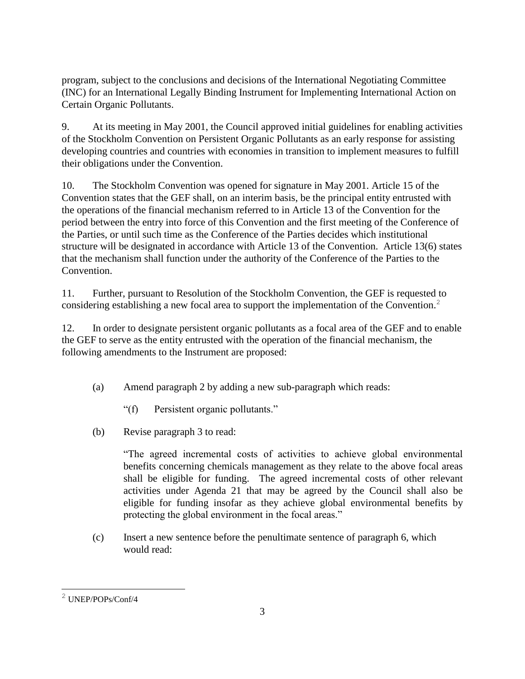program, subject to the conclusions and decisions of the International Negotiating Committee (INC) for an International Legally Binding Instrument for Implementing International Action on Certain Organic Pollutants.

9. At its meeting in May 2001, the Council approved initial guidelines for enabling activities of the Stockholm Convention on Persistent Organic Pollutants as an early response for assisting developing countries and countries with economies in transition to implement measures to fulfill their obligations under the Convention.

10. The Stockholm Convention was opened for signature in May 2001. Article 15 of the Convention states that the GEF shall, on an interim basis, be the principal entity entrusted with the operations of the financial mechanism referred to in Article 13 of the Convention for the period between the entry into force of this Convention and the first meeting of the Conference of the Parties, or until such time as the Conference of the Parties decides which institutional structure will be designated in accordance with Article 13 of the Convention. Article 13(6) states that the mechanism shall function under the authority of the Conference of the Parties to the Convention.

11. Further, pursuant to Resolution of the Stockholm Convention, the GEF is requested to considering establishing a new focal area to support the implementation of the Convention.<sup>2</sup>

12. In order to designate persistent organic pollutants as a focal area of the GEF and to enable the GEF to serve as the entity entrusted with the operation of the financial mechanism, the following amendments to the Instrument are proposed:

- (a) Amend paragraph 2 by adding a new sub-paragraph which reads:
	- "(f) Persistent organic pollutants."
- (b) Revise paragraph 3 to read:

"The agreed incremental costs of activities to achieve global environmental benefits concerning chemicals management as they relate to the above focal areas shall be eligible for funding. The agreed incremental costs of other relevant activities under Agenda 21 that may be agreed by the Council shall also be eligible for funding insofar as they achieve global environmental benefits by protecting the global environment in the focal areas."

(c) Insert a new sentence before the penultimate sentence of paragraph 6, which would read:

 $\overline{a}$ <sup>2</sup> UNEP/POPs/Conf/4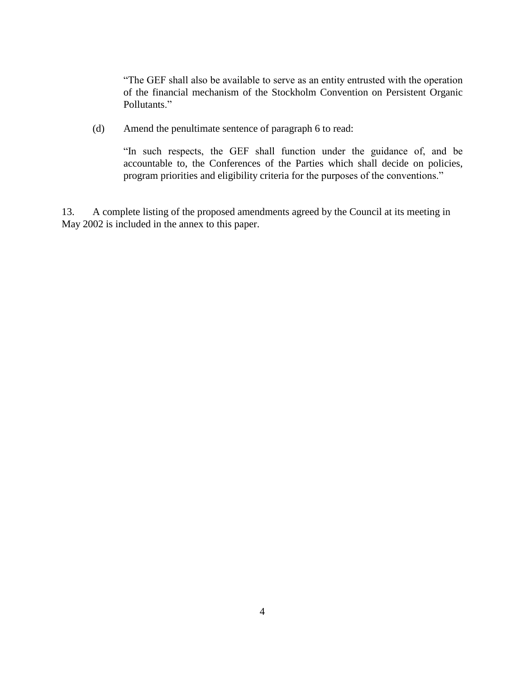"The GEF shall also be available to serve as an entity entrusted with the operation of the financial mechanism of the Stockholm Convention on Persistent Organic Pollutants."

(d) Amend the penultimate sentence of paragraph 6 to read:

"In such respects, the GEF shall function under the guidance of, and be accountable to, the Conferences of the Parties which shall decide on policies, program priorities and eligibility criteria for the purposes of the conventions."

13. A complete listing of the proposed amendments agreed by the Council at its meeting in May 2002 is included in the annex to this paper.